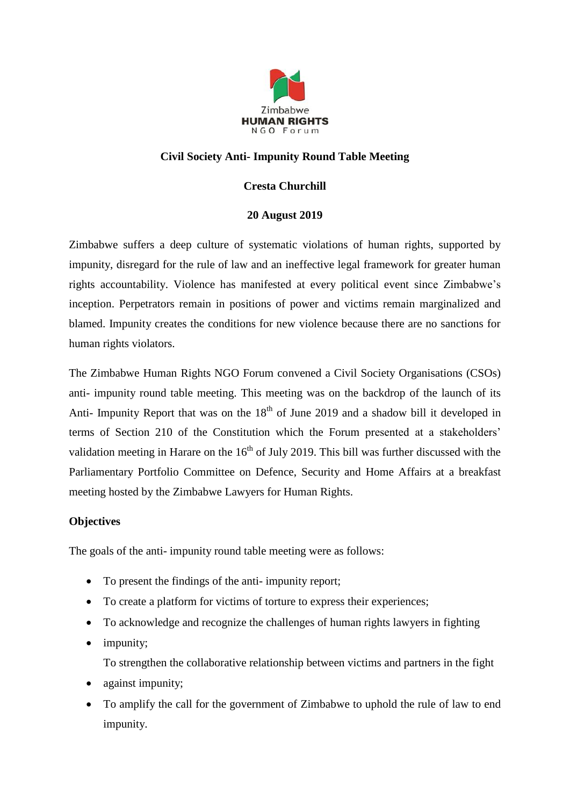

# **Civil Society Anti- Impunity Round Table Meeting**

# **Cresta Churchill**

## **20 August 2019**

Zimbabwe suffers a deep culture of systematic violations of human rights, supported by impunity, disregard for the rule of law and an ineffective legal framework for greater human rights accountability. Violence has manifested at every political event since Zimbabwe's inception. Perpetrators remain in positions of power and victims remain marginalized and blamed. Impunity creates the conditions for new violence because there are no sanctions for human rights violators.

The Zimbabwe Human Rights NGO Forum convened a Civil Society Organisations (CSOs) anti- impunity round table meeting. This meeting was on the backdrop of the launch of its Anti- Impunity Report that was on the  $18<sup>th</sup>$  of June 2019 and a shadow bill it developed in terms of Section 210 of the Constitution which the Forum presented at a stakeholders' validation meeting in Harare on the  $16<sup>th</sup>$  of July 2019. This bill was further discussed with the Parliamentary Portfolio Committee on Defence, Security and Home Affairs at a breakfast meeting hosted by the Zimbabwe Lawyers for Human Rights.

## **Objectives**

The goals of the anti- impunity round table meeting were as follows:

- To present the findings of the anti-impunity report;
- To create a platform for victims of torture to express their experiences;
- To acknowledge and recognize the challenges of human rights lawyers in fighting
- impunity;

To strengthen the collaborative relationship between victims and partners in the fight

- against impunity;
- To amplify the call for the government of Zimbabwe to uphold the rule of law to end impunity.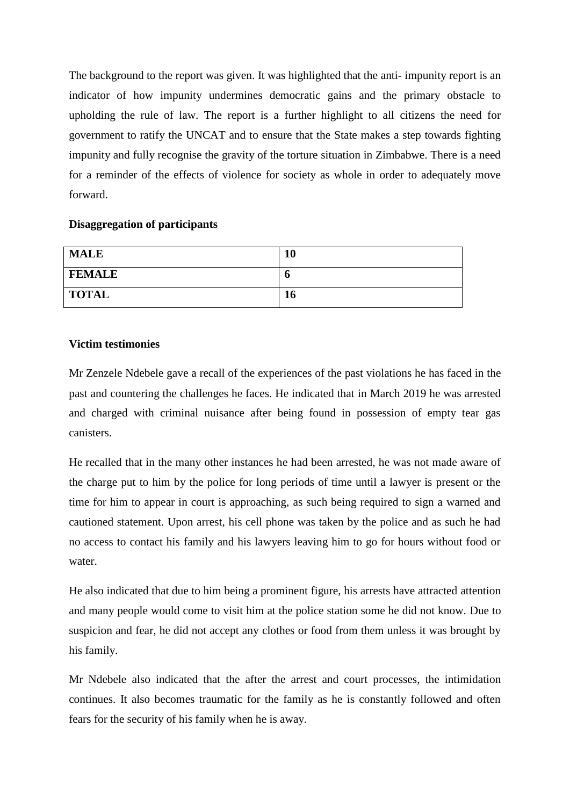The background to the report was given. It was highlighted that the anti- impunity report is an indicator of how impunity undermines democratic gains and the primary obstacle to upholding the rule of law. The report is a further highlight to all citizens the need for government to ratify the UNCAT and to ensure that the State makes a step towards fighting impunity and fully recognise the gravity of the torture situation in Zimbabwe. There is a need for a reminder of the effects of violence for society as whole in order to adequately move forward.

#### **Disaggregation of participants**

| <b>MALE</b>   | 10 |
|---------------|----|
| <b>FEMALE</b> | O  |
| <b>TOTAL</b>  | 16 |

### **Victim testimonies**

Mr Zenzele Ndebele gave a recall of the experiences of the past violations he has faced in the past and countering the challenges he faces. He indicated that in March 2019 he was arrested and charged with criminal nuisance after being found in possession of empty tear gas canisters.

He recalled that in the many other instances he had been arrested, he was not made aware of the charge put to him by the police for long periods of time until a lawyer is present or the time for him to appear in court is approaching, as such being required to sign a warned and cautioned statement. Upon arrest, his cell phone was taken by the police and as such he had no access to contact his family and his lawyers leaving him to go for hours without food or water.

He also indicated that due to him being a prominent figure, his arrests have attracted attention and many people would come to visit him at the police station some he did not know. Due to suspicion and fear, he did not accept any clothes or food from them unless it was brought by his family.

Mr Ndebele also indicated that the after the arrest and court processes, the intimidation continues. It also becomes traumatic for the family as he is constantly followed and often fears for the security of his family when he is away.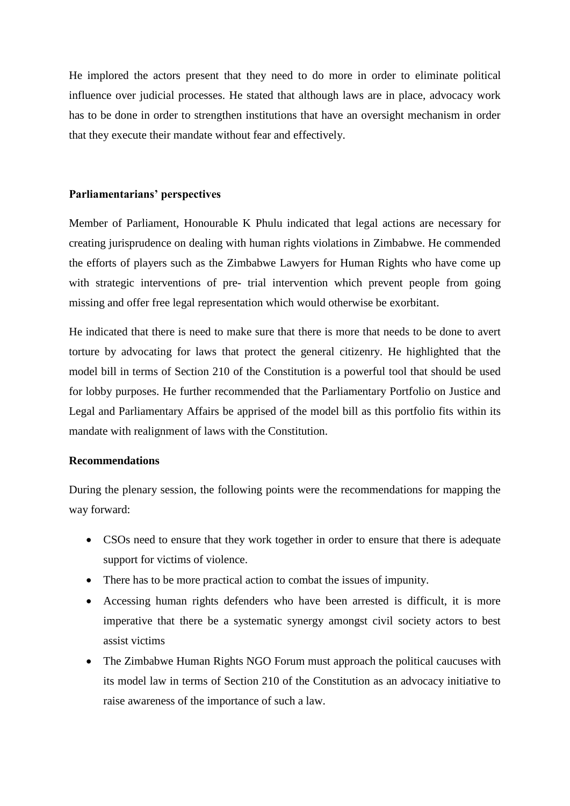He implored the actors present that they need to do more in order to eliminate political influence over judicial processes. He stated that although laws are in place, advocacy work has to be done in order to strengthen institutions that have an oversight mechanism in order that they execute their mandate without fear and effectively.

#### **Parliamentarians' perspectives**

Member of Parliament, Honourable K Phulu indicated that legal actions are necessary for creating jurisprudence on dealing with human rights violations in Zimbabwe. He commended the efforts of players such as the Zimbabwe Lawyers for Human Rights who have come up with strategic interventions of pre- trial intervention which prevent people from going missing and offer free legal representation which would otherwise be exorbitant.

He indicated that there is need to make sure that there is more that needs to be done to avert torture by advocating for laws that protect the general citizenry. He highlighted that the model bill in terms of Section 210 of the Constitution is a powerful tool that should be used for lobby purposes. He further recommended that the Parliamentary Portfolio on Justice and Legal and Parliamentary Affairs be apprised of the model bill as this portfolio fits within its mandate with realignment of laws with the Constitution.

### **Recommendations**

During the plenary session, the following points were the recommendations for mapping the way forward:

- CSOs need to ensure that they work together in order to ensure that there is adequate support for victims of violence.
- There has to be more practical action to combat the issues of impunity.
- Accessing human rights defenders who have been arrested is difficult, it is more imperative that there be a systematic synergy amongst civil society actors to best assist victims
- The Zimbabwe Human Rights NGO Forum must approach the political caucuses with its model law in terms of Section 210 of the Constitution as an advocacy initiative to raise awareness of the importance of such a law.